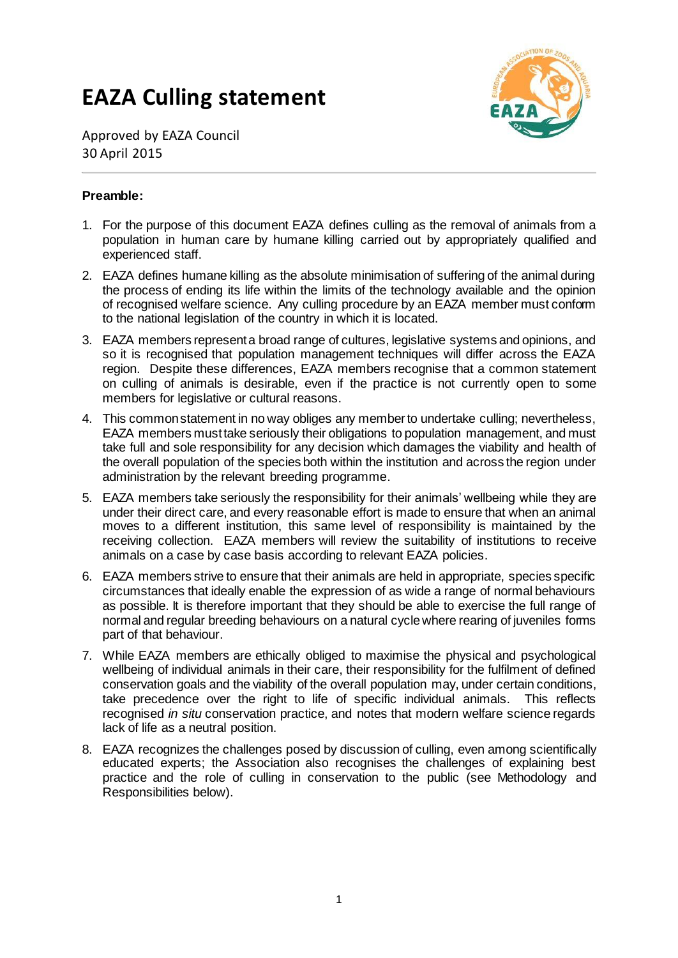# **EAZA Culling statement**



Approved by EAZA Council 30 April 2015

## **Preamble:**

- 1. For the purpose of this document EAZA defines culling as the removal of animals from a population in human care by humane killing carried out by appropriately qualified and experienced staff.
- 2. EAZA defines humane killing as the absolute minimisation of suffering of the animal during the process of ending its life within the limits of the technology available and the opinion of recognised welfare science. Any culling procedure by an EAZA member must conform to the national legislation of the country in which it is located.
- 3. EAZA members represent a broad range of cultures, legislative systems and opinions, and so it is recognised that population management techniques will differ across the EAZA region. Despite these differences, EAZA members recognise that a common statement on culling of animals is desirable, even if the practice is not currently open to some members for legislative or cultural reasons.
- 4. This common statement in no way obliges any member to undertake culling; nevertheless, EAZA members must take seriously their obligations to population management, and must take full and sole responsibility for any decision which damages the viability and health of the overall population of the species both within the institution and across the region under administration by the relevant breeding programme.
- 5. EAZA members take seriously the responsibility for their animals' wellbeing while they are under their direct care, and every reasonable effort is made to ensure that when an animal moves to a different institution, this same level of responsibility is maintained by the receiving collection. EAZA members will review the suitability of institutions to receive animals on a case by case basis according to relevant EAZA policies.
- 6. EAZA members strive to ensure that their animals are held in appropriate, species specific circumstances that ideally enable the expression of as wide a range of normal behaviours as possible. It is therefore important that they should be able to exercise the full range of normal and regular breeding behaviours on a natural cycle where rearing of juveniles forms part of that behaviour.
- 7. While EAZA members are ethically obliged to maximise the physical and psychological wellbeing of individual animals in their care, their responsibility for the fulfilment of defined conservation goals and the viability of the overall population may, under certain conditions, take precedence over the right to life of specific individual animals. This reflects recognised *in situ* conservation practice, and notes that modern welfare science regards lack of life as a neutral position.
- 8. EAZA recognizes the challenges posed by discussion of culling, even among scientifically educated experts; the Association also recognises the challenges of explaining best practice and the role of culling in conservation to the public (see Methodology and Responsibilities below).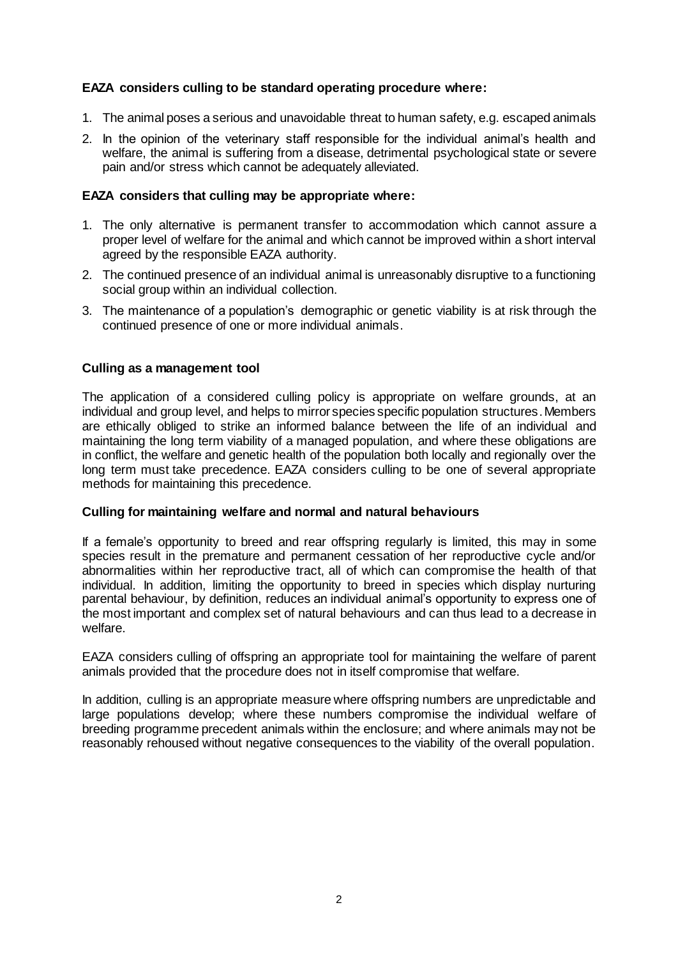## **EAZA considers culling to be standard operating procedure where:**

- 1. The animal poses a serious and unavoidable threat to human safety, e.g. escaped animals
- 2. In the opinion of the veterinary staff responsible for the individual animal's health and welfare, the animal is suffering from a disease, detrimental psychological state or severe pain and/or stress which cannot be adequately alleviated.

#### **EAZA considers that culling may be appropriate where:**

- 1. The only alternative is permanent transfer to accommodation which cannot assure a proper level of welfare for the animal and which cannot be improved within a short interval agreed by the responsible EAZA authority.
- 2. The continued presence of an individual animal is unreasonably disruptive to a functioning social group within an individual collection.
- 3. The maintenance of a population's demographic or genetic viability is at risk through the continued presence of one or more individual animals.

#### **Culling as a management tool**

The application of a considered culling policy is appropriate on welfare grounds, at an individual and group level, and helps to mirror species specific population structures. Members are ethically obliged to strike an informed balance between the life of an individual and maintaining the long term viability of a managed population, and where these obligations are in conflict, the welfare and genetic health of the population both locally and regionally over the long term must take precedence. EAZA considers culling to be one of several appropriate methods for maintaining this precedence.

#### **Culling for maintaining welfare and normal and natural behaviours**

If a female's opportunity to breed and rear offspring regularly is limited, this may in some species result in the premature and permanent cessation of her reproductive cycle and/or abnormalities within her reproductive tract, all of which can compromise the health of that individual. In addition, limiting the opportunity to breed in species which display nurturing parental behaviour, by definition, reduces an individual animal's opportunity to express one of the most important and complex set of natural behaviours and can thus lead to a decrease in welfare.

EAZA considers culling of offspring an appropriate tool for maintaining the welfare of parent animals provided that the procedure does not in itself compromise that welfare.

In addition, culling is an appropriate measure where offspring numbers are unpredictable and large populations develop; where these numbers compromise the individual welfare of breeding programme precedent animals within the enclosure; and where animals may not be reasonably rehoused without negative consequences to the viability of the overall population.